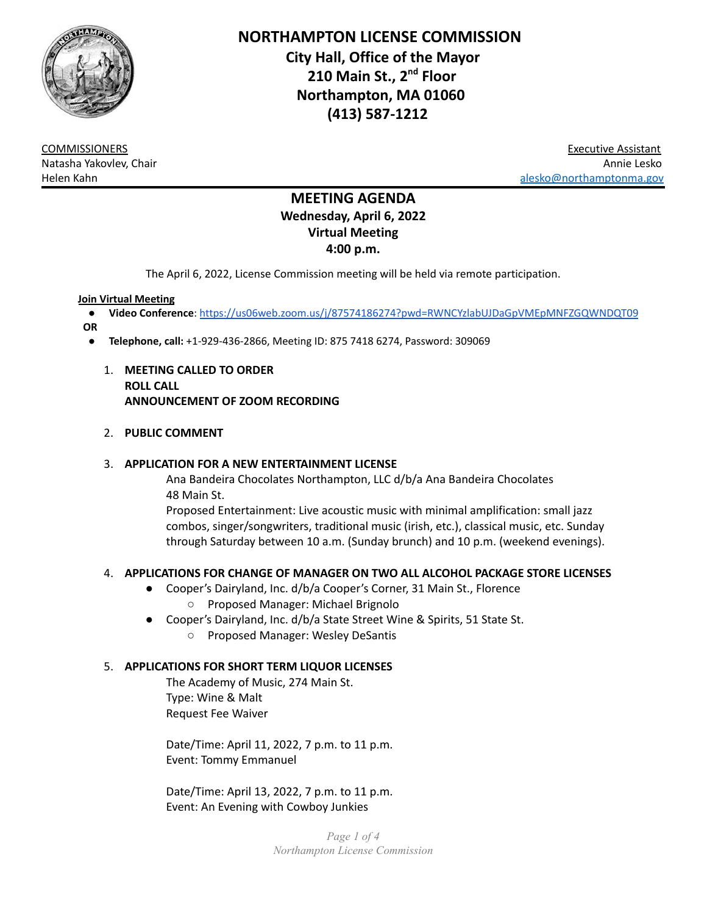

**NORTHAMPTON LICENSE COMMISSION City Hall, Office of the Mayor 210 Main St., 2 nd Floor Northampton, MA 01060 (413) 587-1212**

COMMISSIONERS Executive Assistant Natasha Yakovlev, Chair Annie Lesko er [alesko@northamptonma.gov](mailto:alesko@northamptonma.gov)

# **MEETING AGENDA Wednesday, April 6, 2022 Virtual Meeting 4:00 p.m.**

The April 6, 2022, License Commission meeting will be held via remote participation.

#### **Join Virtual Meeting**

- **Video Conference**: <https://us06web.zoom.us/j/87574186274?pwd=RWNCYzlabUJDaGpVMEpMNFZGQWNDQT09>
- **OR**
	- **Telephone, call:** +1-929-436-2866, Meeting ID: 875 7418 6274, Password: 309069
		- 1. **MEETING CALLED TO ORDER ROLL CALL ANNOUNCEMENT OF ZOOM RECORDING**

### 2. **PUBLIC COMMENT**

### 3. **APPLICATION FOR A NEW ENTERTAINMENT LICENSE**

Ana Bandeira Chocolates Northampton, LLC d/b/a Ana Bandeira Chocolates 48 Main St.

Proposed Entertainment: Live acoustic music with minimal amplification: small jazz combos, singer/songwriters, traditional music (irish, etc.), classical music, etc. Sunday through Saturday between 10 a.m. (Sunday brunch) and 10 p.m. (weekend evenings).

# 4. **APPLICATIONS FOR CHANGE OF MANAGER ON TWO ALL ALCOHOL PACKAGE STORE LICENSES**

- Cooper's Dairyland, Inc. d/b/a Cooper's Corner, 31 Main St., Florence ○ Proposed Manager: Michael Brignolo
- Cooper's Dairyland, Inc. d/b/a State Street Wine & Spirits, 51 State St.
	- Proposed Manager: Wesley DeSantis

#### 5. **APPLICATIONS FOR SHORT TERM LIQUOR LICENSES**

The Academy of Music, 274 Main St. Type: Wine & Malt Request Fee Waiver

Date/Time: April 11, 2022, 7 p.m. to 11 p.m. Event: Tommy Emmanuel

Date/Time: April 13, 2022, 7 p.m. to 11 p.m. Event: An Evening with Cowboy Junkies

> *Page 1 of 4 Northampton License Commission*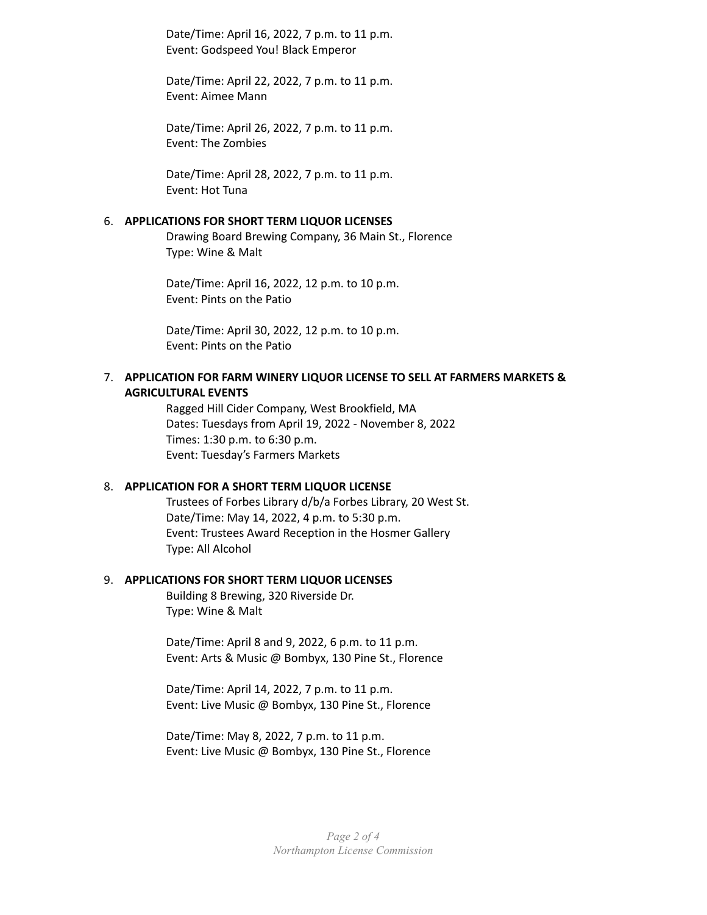Date/Time: April 16, 2022, 7 p.m. to 11 p.m. Event: Godspeed You! Black Emperor

Date/Time: April 22, 2022, 7 p.m. to 11 p.m. Event: Aimee Mann

Date/Time: April 26, 2022, 7 p.m. to 11 p.m. Event: The Zombies

Date/Time: April 28, 2022, 7 p.m. to 11 p.m. Event: Hot Tuna

#### 6. **APPLICATIONS FOR SHORT TERM LIQUOR LICENSES**

Drawing Board Brewing Company, 36 Main St., Florence Type: Wine & Malt

Date/Time: April 16, 2022, 12 p.m. to 10 p.m. Event: Pints on the Patio

Date/Time: April 30, 2022, 12 p.m. to 10 p.m. Event: Pints on the Patio

### 7. **APPLICATION FOR FARM WINERY LIQUOR LICENSE TO SELL AT FARMERS MARKETS & AGRICULTURAL EVENTS**

Ragged Hill Cider Company, West Brookfield, MA Dates: Tuesdays from April 19, 2022 - November 8, 2022 Times: 1:30 p.m. to 6:30 p.m. Event: Tuesday's Farmers Markets

#### 8. **APPLICATION FOR A SHORT TERM LIQUOR LICENSE**

Trustees of Forbes Library d/b/a Forbes Library, 20 West St. Date/Time: May 14, 2022, 4 p.m. to 5:30 p.m. Event: Trustees Award Reception in the Hosmer Gallery Type: All Alcohol

#### 9. **APPLICATIONS FOR SHORT TERM LIQUOR LICENSES**

Building 8 Brewing, 320 Riverside Dr. Type: Wine & Malt

Date/Time: April 8 and 9, 2022, 6 p.m. to 11 p.m. Event: Arts & Music @ Bombyx, 130 Pine St., Florence

Date/Time: April 14, 2022, 7 p.m. to 11 p.m. Event: Live Music @ Bombyx, 130 Pine St., Florence

Date/Time: May 8, 2022, 7 p.m. to 11 p.m. Event: Live Music @ Bombyx, 130 Pine St., Florence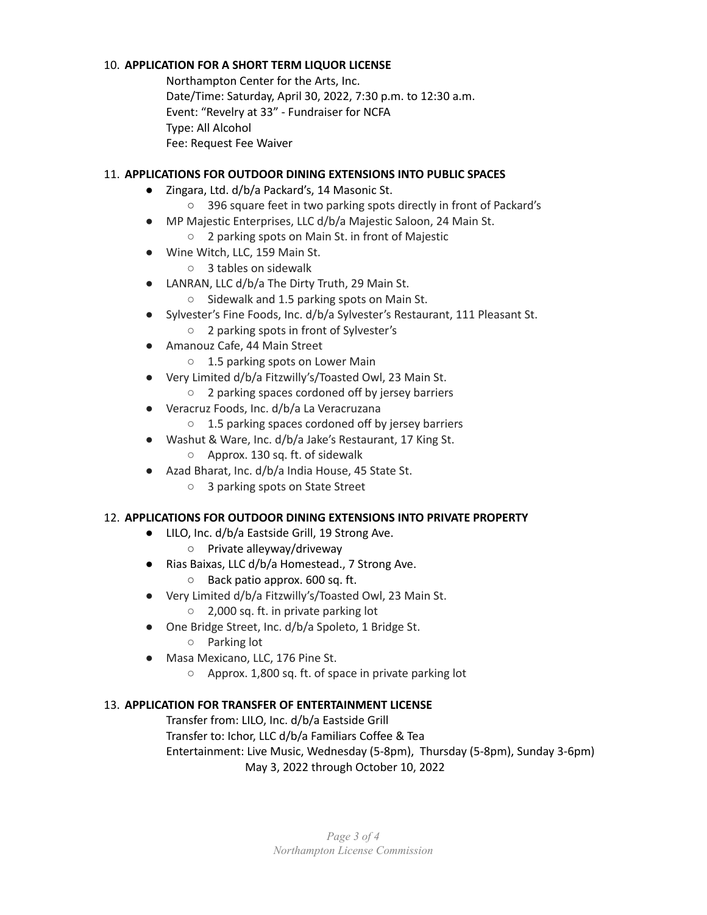# 10. **APPLICATION FOR A SHORT TERM LIQUOR LICENSE**

Northampton Center for the Arts, Inc. Date/Time: Saturday, April 30, 2022, 7:30 p.m. to 12:30 a.m. Event: "Revelry at 33" - Fundraiser for NCFA Type: All Alcohol Fee: Request Fee Waiver

# 11. **APPLICATIONS FOR OUTDOOR DINING EXTENSIONS INTO PUBLIC SPACES**

- Zingara, Ltd. d/b/a Packard's, 14 Masonic St.
	- 396 square feet in two parking spots directly in front of Packard's
- MP Majestic Enterprises, LLC d/b/a Majestic Saloon, 24 Main St.
	- 2 parking spots on Main St. in front of Majestic
- Wine Witch, LLC, 159 Main St.
	- 3 tables on sidewalk
- LANRAN, LLC d/b/a The Dirty Truth, 29 Main St.
	- Sidewalk and 1.5 parking spots on Main St.
- Sylvester's Fine Foods, Inc. d/b/a Sylvester's Restaurant, 111 Pleasant St.
	- 2 parking spots in front of Sylvester's
- Amanouz Cafe, 44 Main Street
	- 1.5 parking spots on Lower Main
- Very Limited d/b/a Fitzwilly's/Toasted Owl, 23 Main St.
	- 2 parking spaces cordoned off by jersey barriers
- Veracruz Foods, Inc. d/b/a La Veracruzana
	- 1.5 parking spaces cordoned off by jersey barriers
- Washut & Ware, Inc. d/b/a Jake's Restaurant, 17 King St. ○ Approx. 130 sq. ft. of sidewalk
- Azad Bharat, Inc. d/b/a India House, 45 State St.
	- 3 parking spots on State Street

# 12. **APPLICATIONS FOR OUTDOOR DINING EXTENSIONS INTO PRIVATE PROPERTY**

- LILO, Inc. d/b/a Eastside Grill, 19 Strong Ave.
	- Private alleyway/driveway
- Rias Baixas, LLC d/b/a Homestead., 7 Strong Ave.
	- Back patio approx. 600 sq. ft.
- Very Limited d/b/a Fitzwilly's/Toasted Owl, 23 Main St.
	- 2,000 sq. ft. in private parking lot
- One Bridge Street, Inc. d/b/a Spoleto, 1 Bridge St.
	- Parking lot
- Masa Mexicano, LLC, 176 Pine St.
	- Approx. 1,800 sq. ft. of space in private parking lot

# 13. **APPLICATION FOR TRANSFER OF ENTERTAINMENT LICENSE**

Transfer from: LILO, Inc. d/b/a Eastside Grill

Transfer to: Ichor, LLC d/b/a Familiars Coffee & Tea

Entertainment: Live Music, Wednesday (5-8pm), Thursday (5-8pm), Sunday 3-6pm)

May 3, 2022 through October 10, 2022